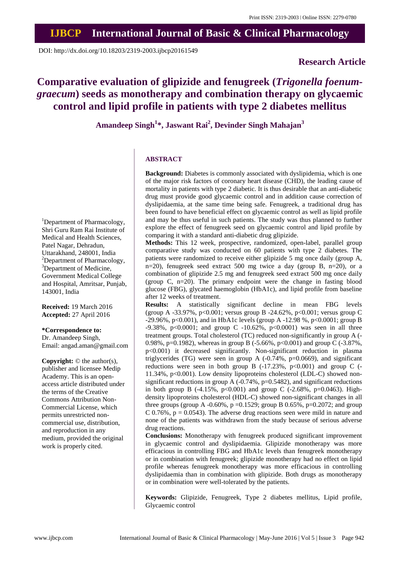DOI: http://dx.doi.org/10.18203/2319-2003.ijbcp20161549

# **Research Article**

# **Comparative evaluation of glipizide and fenugreek (***Trigonella foenumgraecum***) seeds as monotherapy and combination therapy on glycaemic control and lipid profile in patients with type 2 diabetes mellitus**

**Amandeep Singh<sup>1</sup> \*, Jaswant Rai<sup>2</sup> , Devinder Singh Mahajan<sup>3</sup>**

# **ABSTRACT**

**Background:** Diabetes is commonly associated with dyslipidemia, which is one of the major risk factors of coronary heart disease (CHD), the leading cause of mortality in patients with type 2 diabetic. It is thus desirable that an anti-diabetic drug must provide good glycaemic control and in addition cause correction of dyslipidaemia, at the same time being safe. Fenugreek, a traditional drug has been found to have beneficial effect on glycaemic control as well as lipid profile and may be thus useful in such patients. The study was thus planned to further explore the effect of fenugreek seed on glycaemic control and lipid profile by comparing it with a standard anti-diabetic drug glipizide.

**Methods:** This 12 week, prospective, randomized, open-label, parallel group comparative study was conducted on 60 patients with type 2 diabetes. The patients were randomized to receive either glipizide 5 mg once daily (group A,  $n=20$ ), fenugreek seed extract 500 mg twice a day (group B,  $n=20$ ), or a combination of glipizide 2.5 mg and fenugreek seed extract 500 mg once daily (group C, n=20). The primary endpoint were the change in fasting blood glucose (FBG), glycated haemoglobin (HbA1c), and lipid profile from baseline after 12 weeks of treatment.

**Results:** A statistically significant decline in mean FBG levels (group A -33.97%, p<0.001; versus group B -24.62%, p<0.001; versus group C -29.96%, p<0.001), and in HbA1c levels (group A -12.98 %, p<0.0001; group B -9.38%, p<0.0001; and group C -10.62%, p<0.0001) was seen in all three treatment groups. Total cholesterol (TC) reduced non-significantly in group A (- 0.98%, p=0.1982), whereas in group B (-5.66%, p<0.001) and group C (-3.87%, p<0.001) it decreased significantly. Non-significant reduction in plasma triglycerides (TG) were seen in group A (-0.74%, p=0.0669), and significant reductions were seen in both group B  $(-17.23\%, p<0.001)$  and group C  $(-17.23\%)$ 11.34%, p<0.001). Low density lipoproteins cholesterol (LDL-C) showed nonsignificant reductions in group A  $(-0.74\% , p=0.5482)$ , and significant reductions in both group B (-4.15%,  $p<0.001$ ) and group C (-2.68%,  $p=0.0463$ ). Highdensity lipoproteins cholesterol (HDL-C) showed non-significant changes in all three groups (group A -0.60%,  $p = 0.1529$ ; group B 0.65%,  $p = 0.2072$ ; and group C 0.76%,  $p = 0.0543$ . The adverse drug reactions seen were mild in nature and none of the patients was withdrawn from the study because of serious adverse drug reactions.

**Conclusions:** Monotherapy with fenugreek produced significant improvement in glycaemic control and dyslipidaemia. Glipizide monotherapy was more efficacious in controlling FBG and HbA1c levels than fenugreek monotherapy or in combination with fenugreek; glipizide monotherapy had no effect on lipid profile whereas fenugreek monotherapy was more efficacious in controlling dyslipidaemia than in combination with glipizide. Both drugs as monotherapy or in combination were well-tolerated by the patients.

**Keywords:** Glipizide, Fenugreek, Type 2 diabetes mellitus, Lipid profile, Glycaemic control

<sup>1</sup>Department of Pharmacology, Shri Guru Ram Rai Institute of Medical and Health Sciences, Patel Nagar, Dehradun, Uttarakhand, 248001, India <sup>2</sup>Department of Pharmacology, <sup>3</sup>Department of Medicine, Government Medical College and Hospital, Amritsar, Punjab, 143001, India

**Received:** 19 March 2016 **Accepted:** 27 April 2016

# **\*Correspondence to:**

Dr. Amandeep Singh, Email: angad.aman@gmail.com

**Copyright:** © the author(s), publisher and licensee Medip Academy. This is an openaccess article distributed under the terms of the Creative Commons Attribution Non-Commercial License, which permits unrestricted noncommercial use, distribution, and reproduction in any medium, provided the original work is properly cited.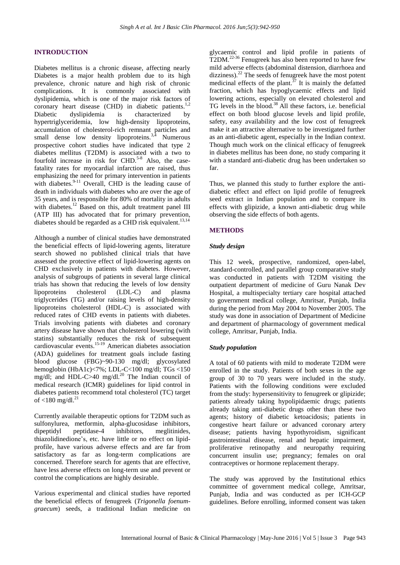# **INTRODUCTION**

Diabetes mellitus is a chronic disease, affecting nearly Diabetes is a major health problem due to its high prevalence, chronic nature and high risk of chronic complications. It is commonly associated with dyslipidemia, which is one of the major risk factors of coronary heart disease (CHD) in diabetic patients.<sup>1,2</sup> Diabetic dyslipidemia is characterized by hypertriglyceridemia, low high-density lipoproteins, accumulation of cholesterol-rich remnant particles and small dense low density lipoproteins.<sup>3,4</sup> Numerous prospective cohort studies have indicated that type 2 diabetes mellitus (T2DM) is associated with a two to fourfold increase in risk for CHD. $5-8$  Also, the casefatality rates for myocardial infarction are raised, thus emphasizing the need for primary intervention in patients with diabetes.<sup>9-11</sup> Overall, CHD is the leading cause of death in individuals with diabetes who are over the age of 35 years, and is responsible for 80% of mortality in adults with diabetes.<sup>12</sup> Based on this, adult treatment panel III (ATP III) has advocated that for primary prevention, diabetes should be regarded as a CHD risk equivalent.<sup>13,14</sup>

Although a number of clinical studies have demonstrated the beneficial effects of lipid-lowering agents, literature search showed no published clinical trials that have assessed the protective effect of lipid-lowering agents on CHD exclusively in patients with diabetes. However, analysis of subgroups of patients in several large clinical trials has shown that reducing the levels of low density lipoproteins cholesterol (LDL-C) and plasma triglycerides (TG) and/or raising levels of high-density lipoproteins cholesterol (HDL-C) is associated with reduced rates of CHD events in patients with diabetes. Trials involving patients with diabetes and coronary artery disease have shown that cholesterol lowering (with statins) substantially reduces the risk of subsequent cardiovascular events.15-19 American diabetes association (ADA) guidelines for treatment goals include fasting blood glucose (FBG)~90-130 mg/dl; glycosylated hemoglobin (HbA1c)<7%; LDL-C<100 mg/dl; TGs <150 memographic (110.110)  $\sim$  7.7.87 The Indian council of medical research (ICMR) guidelines for lipid control in diabetes patients recommend total cholesterol (TC) target of  $<$ 180 mg/dl.<sup>21</sup>

Currently available therapeutic options for T2DM such as sulfonylurea, metformin, alpha-glucosidase inhibitors, dipeptidyl peptidase-4 inhibitors, meglitinides, thiazolidinedione's, etc. have little or no effect on lipidprofile, have various adverse effects and are far from satisfactory as far as long-term complications are concerned. Therefore search for agents that are effective, have less adverse effects on long-term use and prevent or control the complications are highly desirable.

Various experimental and clinical studies have reported the beneficial effects of fenugreek (*Trigonella foenumgraecum*) seeds, a traditional Indian medicine on glycaemic control and lipid profile in patients of T2DM.<sup>22-36</sup> Fenugreek has also been reported to have few mild adverse effects (abdominal distension, diarrhoea and dizziness).<sup>22</sup> The seeds of fenugreek have the most potent medicinal effects of the plant.<sup>37</sup> It is mainly the defatted fraction, which has hypoglycaemic effects and lipid lowering actions, especially on elevated cholesterol and TG levels in the blood.<sup>38</sup> All these factors, i.e. beneficial effect on both blood glucose levels and lipid profile, safety, easy availability and the low cost of fenugreek make it an attractive alternative to be investigated further as an anti-diabetic agent, especially in the Indian context. Though much work on the clinical efficacy of fenugreek in diabetes mellitus has been done, no study comparing it with a standard anti-diabetic drug has been undertaken so far.

Thus, we planned this study to further explore the antidiabetic effect and effect on lipid profile of fenugreek seed extract in Indian population and to compare its effects with glipizide, a known anti-diabetic drug while observing the side effects of both agents.

# **METHODS**

#### *Study design*

This 12 week, prospective, randomized, open-label, standard-controlled, and parallel group comparative study was conducted in patients with T2DM visiting the outpatient department of medicine of Guru Nanak Dev Hospital, a multispecialty tertiary care hospital attached to government medical college, Amritsar, Punjab, India during the period from May 2004 to November 2005. The study was done in association of Department of Medicine and department of pharmacology of government medical college, Amritsar, Punjab, India.

#### *Study population*

A total of 60 patients with mild to moderate T2DM were enrolled in the study. Patients of both sexes in the age group of 30 to 70 years were included in the study. Patients with the following conditions were excluded from the study: hypersensitivity to fenugreek or glipizide; patients already taking hypolipidaemic drugs; patients already taking anti-diabetic drugs other than these two agents; history of diabetic ketoacidosis; patients in congestive heart failure or advanced coronary artery disease; patients having hypothyroidism, significant gastrointestinal disease, renal and hepatic impairment, proliferative retinopathy and neuropathy requiring concurrent insulin use; pregnancy; females on oral contraceptives or hormone replacement therapy.

The study was approved by the Institutional ethics committee of government medical college, Amritsar, Punjab, India and was conducted as per ICH-GCP guidelines. Before enrolling, informed consent was taken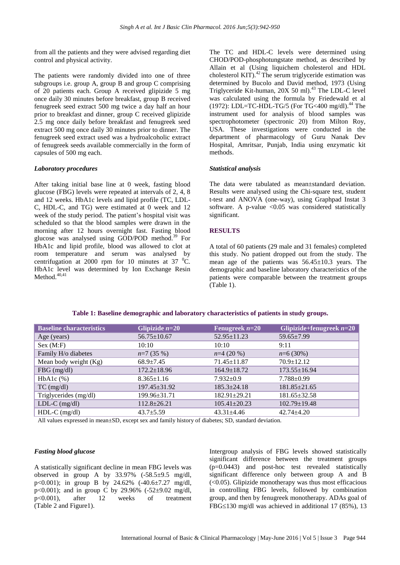from all the patients and they were advised regarding diet control and physical activity.

The patients were randomly divided into one of three subgroups i.e. group A, group B and group C comprising of 20 patients each. Group A received glipizide 5 mg once daily 30 minutes before breakfast, group B received fenugreek seed extract 500 mg twice a day half an hour prior to breakfast and dinner, group C received glipizide 2.5 mg once daily before breakfast and fenugreek seed extract 500 mg once daily 30 minutes prior to dinner. The fenugreek seed extract used was a hydroalcoholic extract of fenugreek seeds available commercially in the form of capsules of 500 mg each.

#### *Laboratory procedures*

After taking initial base line at 0 week, fasting blood glucose (FBG) levels were repeated at intervals of 2, 4, 8 and 12 weeks. HbA1c levels and lipid profile (TC, LDL-C, HDL-C, and TG) were estimated at 0 week and 12 week of the study period. The patient's hospital visit was scheduled so that the blood samples were drawn in the morning after 12 hours overnight fast. Fasting blood glucose was analysed using GOD/POD method.<sup>39</sup> For HbA1c and lipid profile, blood was allowed to clot at room temperature and serum was analysed by centrifugation at 2000 rpm for 10 minutes at 37  $^{\circ}$ C. HbA1c level was determined by Ion Exchange Resin  $Method.<sup>40,41</sup>$ 

The TC and HDL-C levels were determined using CHOD/POD-phosphotungstate method, as described by Allain et al (Using liquichem cholesterol and HDL cholesterol KIT).<sup>42</sup> The serum triglyceride estimation was determined by Bucolo and David method, 1973 (Using Triglyceride Kit-human, 20X 50 ml).<sup>43</sup> The LDL-C level was calculated using the formula by Friedewald et al (1972): LDL=TC-HDL-TG/5 (For TG<400 mg/dl).<sup>44</sup> The instrument used for analysis of blood samples was spectrophotometer (spectronic 20) from Milton Roy, USA. These investigations were conducted in the department of pharmacology of Guru Nanak Dev Hospital, Amritsar, Punjab, India using enzymatic kit methods.

#### *Statistical analysis*

The data were tabulated as mean±standard deviation. Results were analysed using the Chi-square test, student t-test and ANOVA (one-way), using Graphpad Instat 3 software. A p-value  $\langle 0.05 \rangle$  was considered statistically significant.

# **RESULTS**

A total of 60 patients (29 male and 31 females) completed this study. No patient dropped out from the study. The mean age of the patients was  $56.45 \pm 10.3$  years. The demographic and baseline laboratory characteristics of the patients were comparable between the treatment groups (Table 1).

| <b>Baseline characteristics</b> | Glipizide $n=20$   | Fenugreek $n=20$   | Glipizide+fenugreek $n=20$ |
|---------------------------------|--------------------|--------------------|----------------------------|
| Age (years)                     | $56.75 \pm 10.67$  | $52.95 \pm 11.23$  | $59.65 \pm 7.99$           |
| Sex (M:F)                       | 10:10              | 10:10              | 9:11                       |
| Family H/o diabetes             | $n=7(35%)$         | $n=4(20\%)$        | $n=6(30\%)$                |
| Mean body weight (Kg)           | $68.9 \pm 7.45$    | $71.45 \pm 11.87$  | $70.9 \pm 12.12$           |
| $FBG$ (mg/dl)                   | $172.2 \pm 18.96$  | $164.9 \pm 18.72$  | $173.55 \pm 16.94$         |
| $HbA1c$ $%$                     | $8.365 \pm 1.16$   | $7.932 \pm 0.9$    | $7.788 \pm 0.99$           |
| $TC$ (mg/dl)                    | $197.45 \pm 31.92$ | $185.3 \pm 24.18$  | $181.85 \pm 21.65$         |
| Triglycerides (mg/dl)           | 199.96±31.71       | $182.91 \pm 29.21$ | $181.65 \pm 32.58$         |
| $LDL-C$ (mg/dl)                 | $112.8 \pm 26.21$  | $105.41 \pm 20.23$ | $102.79 \pm 19.48$         |
| $HDL-C$ (mg/dl)                 | $43.7 \pm 5.59$    | $43.31 \pm 4.46$   | $42.74 \pm 4.20$           |

## **Table 1: Baseline demographic and laboratory characteristics of patients in study groups.**

All values expressed in mean±SD, except sex and family history of diabetes; SD, standard deviation.

#### *Fasting blood glucose*

A statistically significant decline in mean FBG levels was observed in group A by  $33.97\%$  (-58.5 $\pm$ 9.5 mg/dl, p<0.001); in group B by 24.62% (-40.6±7.27 mg/dl, p<0.001); and in group C by 29.96% (-52 $\pm$ 9.02 mg/dl, p<0.001), after 12 weeks of treatment (Table 2 and Figure1).

Intergroup analysis of FBG levels showed statistically significant difference between the treatment groups (p=0.0443) and post-hoc test revealed statistically significant difference only between group A and B  $( $0.05$ ). Glipizide monotherapy was thus most efficiencies$ in controlling FBG levels, followed by combination group, and then by fenugreek monotherapy. ADAs goal of FBG $\leq$ 130 mg/dl was achieved in additional 17 (85%), 13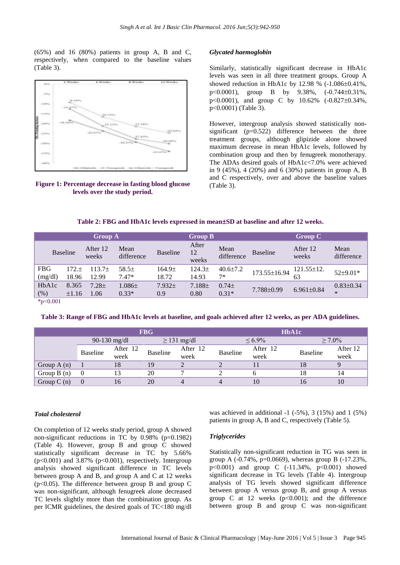(65%) and 16 (80%) patients in group A, B and C, respectively, when compared to the baseline values (Table 3).



**Figure 1: Percentage decrease in fasting blood glucose levels over the study period.**

#### *Glycated haemoglobin*

Similarly, statistically significant decrease in HbA1c levels was seen in all three treatment groups. Group A showed reduction in HbA1c by 12.98 %  $(-1.086\pm0.41\%$ , p<0.0001), group B by  $9.38\%$ ,  $(-0.744\pm0.31\%$ , p<0.0001), and group C by  $10.62\%$  (-0.827±0.34%, p<0.0001) (Table 3).

However, intergroup analysis showed statistically nonsignificant  $(p=0.522)$  difference between the three treatment groups, although glipizide alone showed maximum decrease in mean HbA1c levels, followed by combination group and then by fenugreek monotherapy. The ADAs desired goals of HbA1c<7.0% were achieved in 9 (45%), 4 (20%) and 6 (30%) patients in group A, B and C respectively, over and above the baseline values (Table 3).

| Table 2: FBG and HbA1c levels expressed in mean±SD at baseline and after 12 weeks. |  |  |  |
|------------------------------------------------------------------------------------|--|--|--|
|------------------------------------------------------------------------------------|--|--|--|

|                       |                     | <b>Group A</b>     |                       |                             | <b>Group B</b>              |                        |                  | $Group C$              |                           |
|-----------------------|---------------------|--------------------|-----------------------|-----------------------------|-----------------------------|------------------------|------------------|------------------------|---------------------------|
|                       | <b>Baseline</b>     | After 12<br>weeks  | Mean<br>difference    | <b>Baseline</b>             | After<br>12<br>weeks        | Mean<br>difference     | <b>Baseline</b>  | After 12<br>weeks      | Mean<br>difference        |
| <b>FBG</b><br>(mg/dl) | $172. +$<br>18.96   | $113.7+$<br>12.99  | $58.5+$<br>$7.47*$    | 164.9 <sub>±</sub><br>18.72 | 124.3 <sup>±</sup><br>14.93 | $40.6 \pm 7.2$<br>$7*$ | 173.55±16.94     | $121.55 \pm 12.$<br>63 | 52±9.01*                  |
| HbA1c<br>(%)          | 8.365<br>$\pm 1.16$ | $7.28 \pm$<br>1.06 | $1.086\pm$<br>$0.33*$ | $7.932 \pm$<br>0.9          | $7.188 \pm$<br>0.80         | $0.74\pm$<br>$0.31*$   | $7.788 \pm 0.99$ | $6.961 \pm 0.84$       | $0.83 \pm 0.34$<br>$\ast$ |

 $*p<0.001$ 

| Table 3: Range of FBG and HbA1c levels at baseline, and goals achieved after 12 weeks, as per ADA guidelines. |  |
|---------------------------------------------------------------------------------------------------------------|--|
|                                                                                                               |  |

|              |                |                | <b>FBG</b>       |          | <b>HbA1c</b> |          |                 |          |
|--------------|----------------|----------------|------------------|----------|--------------|----------|-----------------|----------|
|              |                | $90-130$ mg/dl | $\geq$ 131 mg/dl |          | $<6.9\%$     |          | $> 7.0\%$       |          |
|              | Baseline       | After 12       | <b>Baseline</b>  | After 12 | Baseline     | After 12 | <b>Baseline</b> | After 12 |
|              |                | week           |                  | week     |              | week     |                 | week     |
| Group $A(n)$ |                | 18             | 19               |          |              |          | 18              |          |
| Group $B(n)$ | $\overline{0}$ |                | 20               |          |              |          | 18              | 14       |
| Group $C(n)$ | $\overline{0}$ | 16             | 20               |          |              |          | 10              | 10       |

#### *Total cholesterol*

On completion of 12 weeks study period, group A showed non-significant reductions in TC by 0.98% (p=0.1982) (Table 4). However, group B and group C showed statistically significant decrease in TC by 5.66%  $(p<0.001)$  and 3.87%  $(p<0.001)$ , respectively. Intergroup analysis showed significant difference in TC levels between group A and B, and group A and C at 12 weeks (p<0.05). The difference between group B and group C was non-significant, although fenugreek alone decreased TC levels slightly more than the combination group. As per ICMR guidelines, the desired goals of TC<180 mg/dl

was achieved in additional  $-1$  ( $-5\%$ ), 3 (15%) and 1 (5%) patients in group A, B and C, respectively (Table 5).

#### *Triglycerides*

Statistically non-significant reduction in TG was seen in group A  $(-0.74\%$ , p=0.0669), whereas group B  $(-17.23\%$ .  $p<0.001$ ) and group C  $(-11.34\%, p<0.001)$  showed significant decrease in TG levels (Table 4). Intergroup analysis of TG levels showed significant difference between group A versus group B, and group A versus group C at 12 weeks  $(p<0.001)$ ; and the difference between group B and group C was non-significant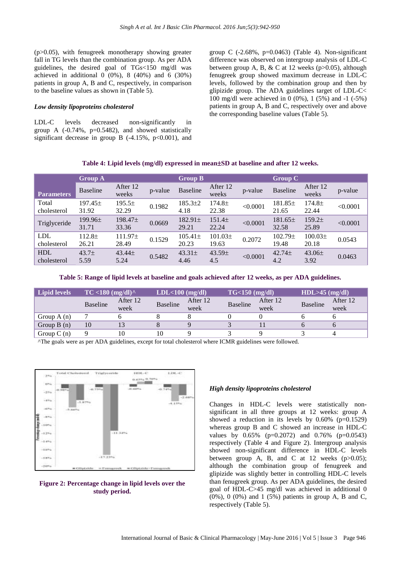(p>0.05), with fenugreek monotherapy showing greater fall in TG levels than the combination group. As per ADA guidelines, the desired goal of TGs<150 mg/dl was achieved in additional  $0$  (0%), 8 (40%) and 6 (30%) patients in group A, B and C, respectively, in comparison to the baseline values as shown in (Table 5).

#### *Low density lipoproteins cholesterol*

LDL-C levels decreased non-significantly in group A  $(-0.74\%, p=0.5482)$ , and showed statistically significant decrease in group B  $(-4.15\%, p<0.001)$ , and group C  $(-2.68\%, p=0.0463)$  (Table 4). Non-significant difference was observed on intergroup analysis of LDL-C between group A, B, & C at 12 weeks ( $p > 0.05$ ), although fenugreek group showed maximum decrease in LDL-C levels, followed by the combination group and then by glipizide group. The ADA guidelines target of LDL-C< 100 mg/dl were achieved in 0 (0%), 1 (5%) and -1 (-5%) patients in group A, B and C, respectively over and above the corresponding baseline values (Table 5).

|                           | <b>Group A</b>            |                              |         | <b>Group B</b>        |                           |          | <b>Group C</b>            |                             |          |
|---------------------------|---------------------------|------------------------------|---------|-----------------------|---------------------------|----------|---------------------------|-----------------------------|----------|
| <b>Parameters</b>         | <b>Baseline</b>           | After 12<br>weeks            | p-value | <b>Baseline</b>       | After 12<br>weeks         | p-value  | <b>Baseline</b>           | After 12<br>weeks           | p-value  |
| Total<br>cholesterol      | $197.45 \pm$<br>31.92     | $195.5\pm$<br>32.29          | 0.1982  | $185.3 \pm 2$<br>4.18 | $174.8 \pm$<br>22.38      | < 0.0001 | $181.85\pm$<br>21.65      | 174.8 <sup>±</sup><br>22.44 | < 0.0001 |
| Triglyceride              | $199.96\pm$<br>31.71      | 198.47 <sub>±</sub><br>33.36 | 0.0669  | $182.91 \pm$<br>29.21 | $151.4\pm$<br>22.24       | < 0.0001 | $181.65\pm$<br>32.58      | $159.2+$<br>25.89           | < 0.0001 |
| <b>LDL</b><br>cholesterol | $112.8\pm$<br>26.21       | $111.97\pm$<br>28.49         | 0.1529  | $105.41 \pm$<br>20.23 | $101.03\pm$<br>19.63      | 0.2072   | $102.79 \pm$<br>19.48     | $100.03+$<br>20.18          | 0.0543   |
| <b>HDL</b><br>cholesterol | 43.7 <sub>±</sub><br>5.59 | 43.44±<br>5.24               | 0.5482  | $43.31\pm$<br>4.46    | 43.59 <sub>±</sub><br>4.5 | < 0.0001 | 42.74 <sub>±</sub><br>4.2 | $43.06\pm$<br>3.92          | 0.0463   |

#### **Table 4: Lipid levels (mg/dl) expressed in meanSD at baseline and after 12 weeks.**

**Table 5: Range of lipid levels at baseline and goals achieved after 12 weeks, as per ADA guidelines.**

| <b>Lipid levels</b> | $TC < 180$ (mg/dl) $^{\wedge}$ |                  | $LDL<100$ (mg/dl) |                  | $TG<150$ (mg/dl) |                  | $HDL > 45$ (mg/dl) |                  |
|---------------------|--------------------------------|------------------|-------------------|------------------|------------------|------------------|--------------------|------------------|
|                     | Baseline                       | After 12<br>week | <b>Baseline</b>   | After 12<br>week | Baseline         | After 12<br>week | Baseline           | After 12<br>week |
| Group $A(n)$        |                                |                  |                   |                  |                  |                  |                    |                  |
| Group $B(n)$        | 10                             |                  |                   |                  |                  |                  |                    |                  |
| Group $C(n)$        |                                | 10               | 10                |                  |                  |                  |                    |                  |

^The goals were as per ADA guidelines, except for total cholesterol where ICMR guidelines were followed.



**Figure 2: Percentage change in lipid levels over the study period.**

#### *High density lipoproteins cholesterol*

Changes in HDL-C levels were statistically nonsignificant in all three groups at 12 weeks: group A showed a reduction in its levels by  $0.60\%$  (p=0.1529) whereas group B and C showed an increase in HDL-C values by 0.65% (p=0.2072) and 0.76% (p=0.0543) respectively (Table 4 and Figure 2). Intergroup analysis showed non-significant difference in HDL-C levels between group A, B, and C at 12 weeks  $(p>0.05)$ ; although the combination group of fenugreek and glipizide was slightly better in controlling HDL-C levels than fenugreek group. As per ADA guidelines, the desired goal of HDL-C>45 mg/dl was achieved in additional 0 (0%), 0 (0%) and 1 (5%) patients in group A, B and C, respectively (Table 5).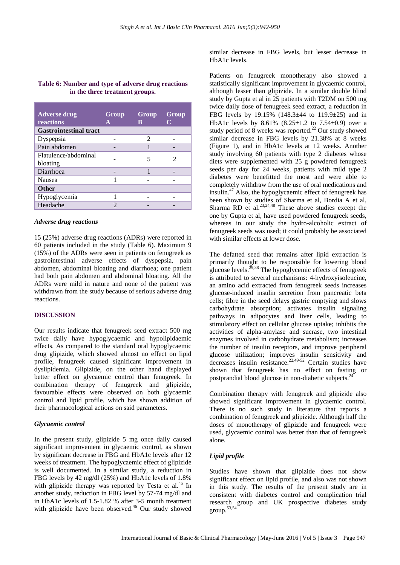# **Table 6: Number and type of adverse drug reactions in the three treatment groups.**

| <b>Adverse drug</b><br>reactions | Group<br>A | Group<br>В | Group |
|----------------------------------|------------|------------|-------|
| <b>Gastrointestinal tract</b>    |            |            |       |
| Dyspepsia                        |            | 2          |       |
| Pain abdomen                     |            |            |       |
| Flatulence/abdominal             |            | 5          |       |
| bloating                         |            |            |       |
| Diarrhoea                        |            |            |       |
| Nausea                           |            |            |       |
| <b>Other</b>                     |            |            |       |
| Hypoglycemia                     |            |            |       |
| Headache                         | ာ          |            |       |

#### *Adverse drug reactions*

15 (25%) adverse drug reactions (ADRs) were reported in 60 patients included in the study (Table 6). Maximum 9 (15%) of the ADRs were seen in patients on fenugreek as gastrointestinal adverse effects of dyspepsia, pain abdomen, abdominal bloating and diarrhoea; one patient had both pain abdomen and abdominal bloating. All the ADRs were mild in nature and none of the patient was withdrawn from the study because of serious adverse drug reactions.

# **DISCUSSION**

Our results indicate that fenugreek seed extract 500 mg twice daily have hypoglycaemic and hypolipidaemic effects. As compared to the standard oral hypoglycaemic drug glipizide, which showed almost no effect on lipid profile, fenugreek caused significant improvement in dyslipidemia. Glipizide, on the other hand displayed better effect on glycaemic control than fenugreek. In combination therapy of fenugreek and glipizide, favourable effects were observed on both glycaemic control and lipid profile, which has shown addition of their pharmacological actions on said parameters.

#### *Glycaemic control*

In the present study, glipizide 5 mg once daily caused significant improvement in glycaemic control, as shown by significant decrease in FBG and HbA1c levels after 12 weeks of treatment. The hypoglycaemic effect of glipizide is well documented. In a similar study, a reduction in FBG levels by 42 mg/dl (25%) and HbA1c levels of 1.8% with glipizide therapy was reported by Testa et al.<sup>45</sup> In another study, reduction in FBG level by 57-74 mg/dl and in HbA1c levels of 1.5-1.82 % after 3-5 month treatment with glipizide have been observed.<sup>46</sup> Our study showed

similar decrease in FBG levels, but lesser decrease in HbA1c levels.

Patients on fenugreek monotherapy also showed a statistically significant improvement in glycaemic control, although lesser than glipizide. In a similar double blind study by Gupta et al in 25 patients with T2DM on 500 mg twice daily dose of fenugreek seed extract, a reduction in FBG levels by 19.15%  $(148.3 \pm 44)$  to  $119.9 \pm 25$  and in HbA1c levels by 8.61%  $(8.25 \pm 1.2 \text{ to } 7.54 \pm 0.9)$  over a study period of 8 weeks was reported.<sup>22</sup> Our study showed similar decrease in FBG levels by 21.38% at 8 weeks (Figure 1), and in HbA1c levels at 12 weeks. Another study involving 60 patients with type 2 diabetes whose diets were supplemented with 25 g powdered fenugreek seeds per day for 24 weeks, patients with mild type 2 diabetes were benefitted the most and were able to completely withdraw from the use of oral medications and insulin.<sup>47</sup> Also, the hypoglycaemic effect of fenugreek has been shown by studies of Sharma et al, Bordia A et al, Sharma RD et al. $23,24,48$  These above studies except the one by Gupta et al, have used powdered fenugreek seeds, whereas in our study the hydro-alcoholic extract of fenugreek seeds was used; it could probably be associated with similar effects at lower dose.

The defatted seed that remains after lipid extraction is primarily thought to be responsible for lowering blood glucose levels.29,38 The hypoglycemic effects of fenugreek is attributed to several mechanisms: 4-hydroxyisoleucine, an amino acid extracted from fenugreek seeds increases glucose-induced insulin secretion from pancreatic beta cells; fibre in the seed delays gastric emptying and slows carbohydrate absorption; activates insulin signaling pathways in adipocytes and liver cells, leading to stimulatory effect on cellular glucose uptake; inhibits the activities of alpha-amylase and sucrase, two intestinal enzymes involved in carbohydrate metabolism; increases the number of insulin receptors, and improve peripheral glucose utilization; improves insulin sensitivity and decreases insulin resistance.<sup>22,49-52</sup> Certain studies have shown that fenugreek has no effect on fasting or postprandial blood glucose in non-diabetic subjects.<sup>24</sup>

Combination therapy with fenugreek and glipizide also showed significant improvement in glycaemic control. There is no such study in literature that reports a combination of fenugreek and glipizide. Although half the doses of monotherapy of glipizide and fenugreek were used, glycaemic control was better than that of fenugreek alone.

## *Lipid profile*

Studies have shown that glipizide does not show significant effect on lipid profile, and also was not shown in this study. The results of the present study are in consistent with diabetes control and complication trial research group and UK prospective diabetes study group.53,54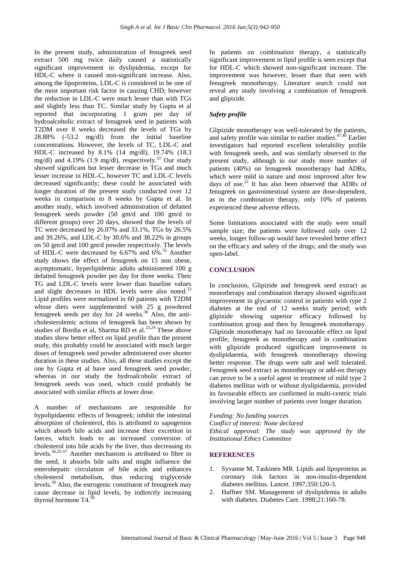In the present study, administration of fenugreek seed extract 500 mg twice daily caused a statistically significant improvement in dyslipidemia, except for HDL-C where it caused non-significant increase. Also, among the lipoproteins, LDL-C is considered to be one of the most important risk factor in causing CHD; however the reduction in LDL-C were much lesser than with TGs and slightly less than TC. Similar study by Gupta et al reported that incorporating 1 gram per day of hydroalcoholic extract of fenugreek seed in patients with T2DM over 8 weeks decreased the levels of TGs by 28.88% (-53.2 mg/dl) from the initial baseline concentrations. However, the levels of TC, LDL-C and HDL-C increased by 8.1% (14 mg/dl), 19.74% (18.3 mg/dl) and 4.19% (1.9 mg/dl), respectively.<sup>22</sup> Our study showed significant but lesser decrease in TGs and much lesser increase in HDL-C, however TC and LDL-C levels decreased significantly; these could be associated with longer duration of the present study conducted over 12 weeks in comparison to 8 weeks by Gupta et al. In another study, which involved administration of defatted fenugreek seeds powder (50 gm/d and 100 gm/d to different groups) over 20 days, showed that the levels of TC were decreased by 26.07% and 33.1%, TGs by 26.5% and 39.26%, and LDL-C by 30.6% and 38.22% in groups on 50 gm/d and 100 gm/d powder respectively. The levels of HDL-C were decreased by 6.67% and 6%.<sup>32</sup> Another study shows the effect of fenugreek on 15 non obese, asymptomatic, hyperlipidemic adults administered 100 g defatted fenugreek powder per day for three weeks. Their TG and LDL-C levels were lower than baseline values and slight decreases in HDL levels were also noted.<sup>33</sup> Lipid profiles were normalized in 60 patients with T2DM whose diets were supplemented with 25 g powdered fenugreek seeds per day for 24 weeks.<sup>30</sup> Also, the anticholesterolemic actions of fenugreek has been shown by studies of Bordia et al, Sharma RD et al. $^{23,24}$  These above studies show better effect on lipid profile than the present study, this probably could be associated with much larger doses of fenugreek seed powder administered over shorter duration in these studies. Also, all these studies except the one by Gupta et al have used fenugreek seed powder, whereas in our study the hydroalcoholic extract of fenugreek seeds was used, which could probably be associated with similar effects at lower dose.

A number of mechanisms are responsible for hypolipidaemic effects of fenugreek; inhibit the intestinal absorption of cholesterol, this is attributed to sapogenins which absorb bile acids and increase their excretion in faeces, which leads to an increased conversion of cholesterol into bile acids by the liver, thus decreasing its levels.36,55-57 Another mechanism is attributed to fibre in the seed, it absorbs bile salts and might influence the enterohepatic circulation of bile acids and enhances cholesterol metabolism, thus reducing triglyceride levels.<sup>58</sup> Also, the estrogenic constituent of fenugreek may cause decrease in lipid levels, by indirectly increasing thyroid hormone T4.<sup>59</sup>

In patients on combination therapy, a statistically significant improvement in lipid profile is seen except that for HDL-C which showed non-significant increase. The improvement was however, lesser than that seen with fenugreek monotherapy. Literature search could not reveal any study involving a combination of fenugreek and glipizide.

# *Safety profile*

Glipizide monotherapy was well-tolerated by the patients, and safety profile was similar to earlier studies.47,48 Earlier investigators had reported excellent tolerability profile with fenugreek seeds, and was similarly observed in the present study, although in our study more number of patients (40%) on fenugreek monotherapy had ADRs, which were mild in nature and most improved after few days of use.<sup>22</sup> It has also been observed that ADRs of fenugreek on gastrointestinal system are dose-dependent, as in the combination therapy, only 10% of patients experienced these adverse effects.

Some limitations associated with the study were small sample size; the patients were followed only over 12 weeks, longer follow-up would have revealed better effect on the efficacy and safety of the drugs; and the study was open-label.

# **CONCLUSION**

In conclusion, Glipizide and fenugreek seed extract as monotherapy and combination therapy showed significant improvement in glycaemic control in patients with type 2 diabetes at the end of 12 weeks study period; with glipizide showing superior efficacy followed by combination group and then by fenugreek monotherapy. Glipizide monotherapy had no favourable effect on lipid profile; fenugreek as monotherapy and in combination with glipizide produced significant improvement in dyslipidaemia, with fenugreek monotherapy showing better response. The drugs were safe and well tolerated. Fenugreek seed extract as monotherapy or add-on therapy can prove to be a useful agent in treatment of mild type 2 diabetes mellitus with or without dyslipidaemia, provided its favourable effects are confirmed in multi-centric trials involving larger number of patients over longer duration.

*Funding: No funding sources Conflict of interest: None declared Ethical approval: The study was approved by the Institutional Ethics Committee*

#### **REFERENCES**

- 1. Syvanne M, Taskinen MR. Lipids and lipoproteins as coronary risk factors in non-insulin-dependent diabetes mellitus. Lancet. 1997;350:120-3.
- 2. Haffner SM. Management of dyslipidemia in adults with diabetes. Diabetes Care. 1998;21:160-78.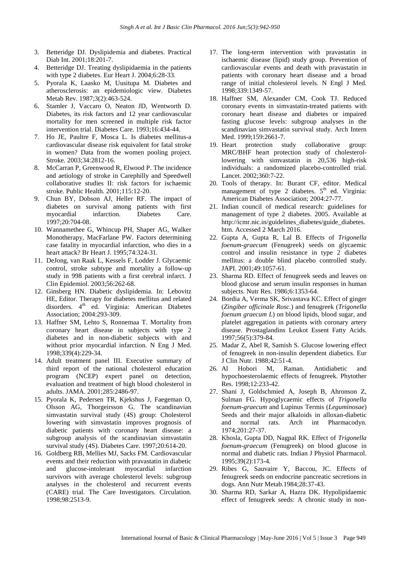- 3. Betteridge DJ. Dyslipidemia and diabetes. Practical Diab Int. 2001;18:201-7.
- 4. Betteridge DJ. Treating dyslipidaemia in the patients with type 2 diabetes. Eur Heart J. 2004;6:28-33.
- 5. Pyorala K, Laasko M, Uusitupa M. Diabetes and atherosclerosis: an epidemiologic view. Diabetes Metab Rev. 1987;3(2):463-524.
- 6. Stamler J, Vaccaro O, Neaton JD, Wentworth D. Diabetes, its risk factors and 12 year cardiovascular mortality for men screened in multiple risk factor intervention trial. Diabetes Care. 1993;16:434-44.
- 7. Ho JE, Paultre F, Mosca L. Is diabetes mellitus-a cardiovascular disease risk equivalent for fatal stroke in women? Data from the women pooling project. Stroke. 2003;34:2812-16.
- 8. McCarran P, Greenwood R, Elwood P. The incidence and aetiology of stroke in Carephilly and Speedwell collaborative studies II: risk factors for ischaemic stroke. Public Health. 2001;115:12-20.
- 9. Chun BY, Dobson AJ, Heller RF. The impact of diabetes on survival among patients with first myocardial infarction. Diabetes Care. 1997;20:704-08.
- 10. Wannamethee G, Whincup PH, Shaper AG, Walker Monotherapy, MacFarlane PW. Factors determining case fatality in myocardial infarction, who dies in a heart attack? Br Heart J. 1995;74:324-31.
- 11. DeJong, van Raak L, Kessels F, Lodder J. Glycaemic control, stroke subtype and mortality a follow-up study in 998 patients with a first cerebral infarct. J Clin Epidemiol. 2003;56:262-68.
- 12. Ginsberg HN. Diabetic dyslipidemia. In: Lebovitz HE, Editor. Therapy for diabetes mellitus and related disorders. 4<sup>th</sup> ed. Virginia: American Diabetes Association; 2004:293-309.
- 13. Haffner SM, Lehto S, Ronnemaa T. Mortality from coronary heart disease in subjects with type 2 diabetes and in non-diabetic subjects with and without prior myocardial infarction. N Eng J Med. 1998;339(4):229-34.
- 14. Adult treatment panel III. Executive summary of third report of the national cholesterol education program (NCEP) expert panel on detection, evaluation and treatment of high blood cholesterol in adults. JAMA. 2001;285:2486-97.
- 15. Pyorala K, Pedersen TR, Kjekshus J, Faegeman O, Olsson AG, Thorgeirsson G. The scandinavian simvastatin survival study (4S) group: Cholesterol lowering with simvastatin improves prognosis of diabetic patients with coronary heart disease: a subgroup analysis of the scandinavian simvastatin survival study (4S). Diabetes Care. 1997;20:614-20.
- 16. Goldberg RB, Mellies MJ, Sacks FM. Cardiovascular events and their reduction with pravastatin in diabetic and glucose-intolerant myocardial infarction survivors with average cholesterol levels: subgroup analyses in the cholesterol and recurrent events (CARE) trial. The Care Investigators. Circulation. 1998;98:2513-9.
- 17. The long-term intervention with pravastatin in ischaemic disease (lipid) study group. Prevention of cardiovascular events and death with pravastatin in patients with coronary heart disease and a broad range of initial cholesterol levels. N Engl J Med. 1998;339:1349-57.
- 18. Haffner SM, Alexander CM, Cook TJ. Reduced coronary events in simvastatin-treated patients with coronary heart disease and diabetes or impaired fasting glucose levels: subgroup analyses in the scandinavian simvastatin survival study. Arch Intern Med. 1999:159:2661-7.
- 19. Heart protection study collaborative group: MRC/BHF heart protection study of cholesterollowering with simvastatin in 20,536 high-risk individuals: a randomized placebo-controlled trial. Lancet. 2002;360:7-22.
- 20. Tools of therapy. In: Burant CF, editor. Medical management of type 2 diabetes. 5<sup>th</sup> ed. Virginia: American Diabetes Association; 2004:27-77.
- 21. Indian council of medical research: guidelines for management of type 2 diabetes. 2005. Available at http://icmr.nic.in/guidelines\_diabetes/guide\_diabetes. htm. Accessed 2 March 2016.
- 22. Gupta A, Gupta R, Lal B. Effects of *Trigonella foenum-graecum* (Fenugreek) seeds on glycaemic control and insulin resistance in type 2 diabetes mellitus: a double blind placebo controlled study. JAPI. 2001;49:1057-61.
- 23. Sharma RD. Effect of fenugreek seeds and leaves on blood glucose and serum insulin responses in human subjects. Nutr Res. 1986;6:1353-64.
- 24. Bordia A, Verma SK, Srivastava KC. Effect of ginger (*Zingiber officinale Rosc.*) and fenugreek (*Trigonella foenum graecum L*) on blood lipids, blood sugar, and platelet aggregation in patients with coronary artery disease. Prostaglandins Leukot Essent Fatty Acids. 1997;56(5):379-84.
- 25. Madar Z, Abel R, Samish S. Glucose lowering effect of fenugreek in non-insulin dependent diabetics. Eur J Clin Nutr. 1988;42:51-4.
- 26. Al Hobori M, Raman. Antidiabetic and hypochoesterolaemic effects of fenugreek. Phytother Res. 1998;12:233-42.
- 27. Shani J, Goldschmied A, Joseph B, Ahronson Z, Sulman FG. Hypoglycaemic effects of *Trigonella foenum-graecum* and Lupinus Termis (*Leguminosae*) Seeds and their major alkaloids in alloxan-diabetic and normal rats. Arch int Pharmacodyn. 1974;201:27-37.
- 28. Khosla, Gupta DD, Nagpal RK. Effect of *Trigonella foenum-graecum* (Fenugreek) on blood glucose in normal and diabetic rats. Indian J Physiol Pharmacol. 1995;39(2):173-4.
- 29. Ribes G, Sauvaire Y, Baccou, JC. Effects of fenugreek seeds on endocrine pancreatic secretions in dogs. Ann Nutr Metab.1984;28:37-43.
- 30. Sharma RD, Sarkar A, Hazra DK. Hypolipidaemic effect of fenugreek seeds: A chronic study in non-